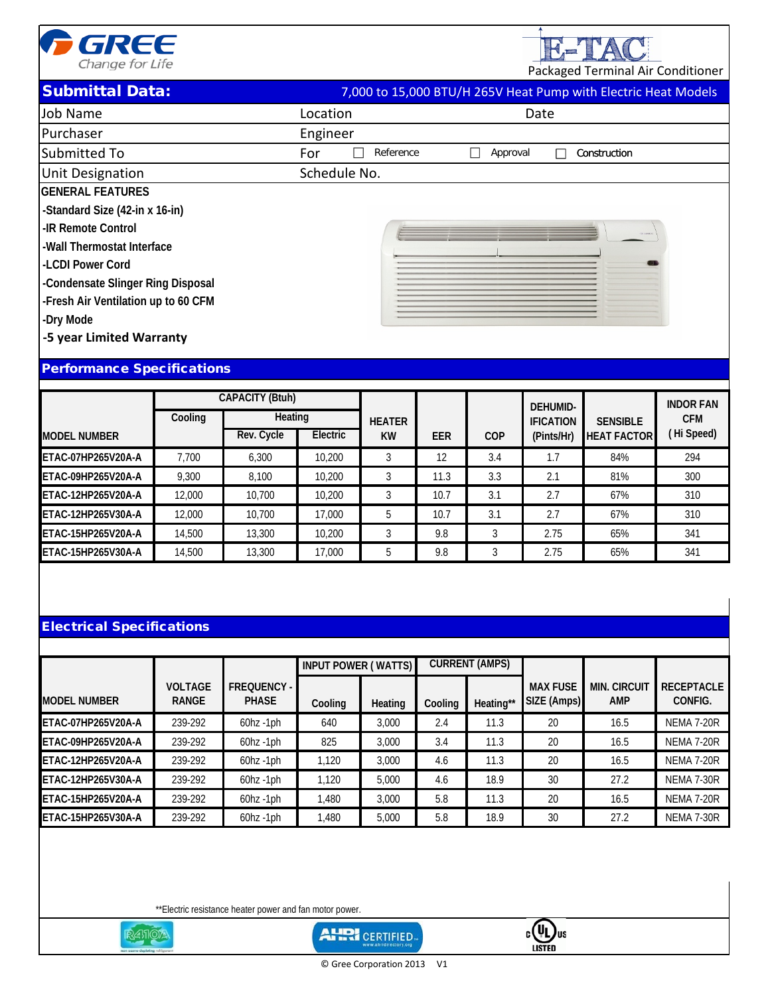

E-TAC

Packaged Terminal Air Conditioner

## **Submittal Data:**

| 7,000 to 15,000 BTU/H 265V Heat Pump with Electric Heat Models |
|----------------------------------------------------------------|
|----------------------------------------------------------------|

| Job Name                            | Location         | Date                                     |
|-------------------------------------|------------------|------------------------------------------|
| Purchaser                           | Engineer         |                                          |
| Submitted To                        | Reference<br>For | Approval<br>Construction<br>$\mathbf{L}$ |
| <b>Unit Designation</b>             | Schedule No.     |                                          |
| <b>GENERAL FEATURES</b>             |                  |                                          |
| -Standard Size (42-in x 16-in)      |                  |                                          |
| -IR Remote Control                  |                  |                                          |
| -Wall Thermostat Interface          |                  |                                          |
| LCDI Power Cord                     |                  |                                          |
| -Condensate Slinger Ring Disposal   |                  |                                          |
| -Fresh Air Ventilation up to 60 CFM |                  |                                          |
| -Dry Mode                           |                  |                                          |
| -5 year Limited Warranty            |                  |                                          |
|                                     |                  |                                          |
| <b>Performance Specifications</b>   |                  |                                          |
|                                     |                  |                                          |

|                     |         | <b>CAPACITY (Btuh)</b> |          |               |            |            | <b>DEHUMID-</b>  |                    | <b>INDOR FAN</b> |
|---------------------|---------|------------------------|----------|---------------|------------|------------|------------------|--------------------|------------------|
|                     | Cooling | Heating                |          | <b>HEATER</b> |            |            | <b>IFICATION</b> | <b>SENSIBLE</b>    | <b>CFM</b>       |
| <b>MODEL NUMBER</b> |         | Rev. Cycle             | Electric | <b>KW</b>     | <b>EER</b> | <b>COP</b> | (Pints/Hr)       | <b>HEAT FACTOR</b> | (Hi Speed)       |
| ETAC-07HP265V20A-A  | 7.700   | 6.300                  | 10,200   |               | 12         | 3.4        | 1.7              | 84%                | 294              |
| ETAC-09HP265V20A-A  | 9.300   | 8.100                  | 10,200   |               | 11.3       | 3.3        | 2.1              | 81%                | 300              |
| ETAC-12HP265V20A-A  | 12,000  | 10.700                 | 10,200   |               | 10.7       | 3.1        | 2.7              | 67%                | 310              |
| ETAC-12HP265V30A-A  | 12,000  | 10.700                 | 17,000   |               | 10.7       | 3.1        | 2.7              | 67%                | 310              |
| ETAC-15HP265V20A-A  | 14,500  | 13,300                 | 10,200   |               | 9.8        |            | 2.75             | 65%                | 341              |
| ETAC-15HP265V30A-A  | 14,500  | 13,300                 | 17,000   | b             | 9.8        |            | 2.75             | 65%                | 341              |

## Electrical Specifications

|                     |                                |                             | <b>INPUT POWER (WATTS)</b> |         | <b>CURRENT (AMPS)</b> |           |                                |                                   |                              |
|---------------------|--------------------------------|-----------------------------|----------------------------|---------|-----------------------|-----------|--------------------------------|-----------------------------------|------------------------------|
| <b>MODEL NUMBER</b> | <b>VOLTAGE</b><br><b>RANGE</b> | FREQUENCY -<br><b>PHASE</b> | Cooling                    | Heating | Cooling               | Heating** | <b>MAX FUSE</b><br>SIZE (Amps) | <b>MIN. CIRCUIT</b><br><b>AMP</b> | <b>RECEPTACLE</b><br>CONFIG. |
| ETAC-07HP265V20A-A  | 239-292                        | $60hz - 1ph$                | 640                        | 3.000   | 2.4                   | 11.3      | 20                             | 16.5                              | <b>NEMA 7-20R</b>            |
| ETAC-09HP265V20A-A  | 239-292                        | $60hz - 1ph$                | 825                        | 3.000   | 3.4                   | 11.3      | 20                             | 16.5                              | <b>NEMA 7-20R</b>            |
| ETAC-12HP265V20A-A  | 239-292                        | $60$ hz $-1$ ph             | 1.120                      | 3.000   | 4.6                   | 11.3      | 20                             | 16.5                              | <b>NEMA 7-20R</b>            |
| ETAC-12HP265V30A-A  | 239-292                        | $60$ hz $-1$ ph             | 1.120                      | 5,000   | 4.6                   | 18.9      | 30                             | 27.2                              | <b>NEMA 7-30R</b>            |
| ETAC-15HP265V20A-A  | 239-292                        | $60hz - 1ph$                | 1.480                      | 3.000   | 5.8                   | 11.3      | 20                             | 16.5                              | <b>NEMA 7-20R</b>            |
| ETAC-15HP265V30A-A  | 239-292                        | $60$ hz -1 $ph$             | 1.480                      | 5,000   | 5.8                   | 18.9      | 30                             | 27.2                              | <b>NEMA 7-30R</b>            |

\*\*Electric resistance heater power and fan motor power.



**AHRI** CERTIFIED-